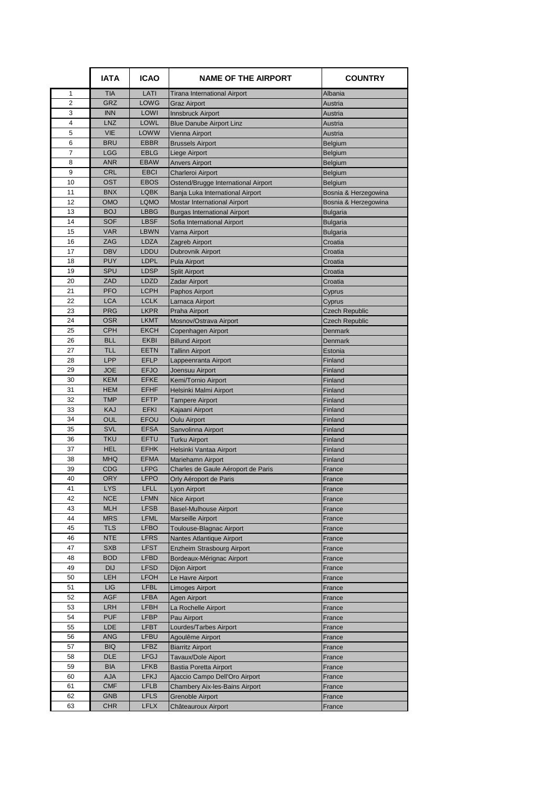|                | <b>IATA</b>              | <b>ICAO</b>                | <b>NAME OF THE AIRPORT</b>                                              | <b>COUNTRY</b>                               |
|----------------|--------------------------|----------------------------|-------------------------------------------------------------------------|----------------------------------------------|
| 1              | <b>TIA</b>               | LATI                       | <b>Tirana International Airport</b>                                     | Albania                                      |
| 2              | <b>GRZ</b>               | LOWG                       | <b>Graz Airport</b>                                                     | Austria                                      |
| 3              | <b>INN</b>               | LOWI                       | Innsbruck Airport                                                       | Austria                                      |
| 4              | LNZ                      | LOWL                       | <b>Blue Danube Airport Linz</b>                                         | Austria                                      |
| 5              | <b>VIE</b>               | LOWW                       | Vienna Airport                                                          | Austria                                      |
| 6              | <b>BRU</b>               | <b>EBBR</b>                | <b>Brussels Airport</b>                                                 | Belgium                                      |
| $\overline{7}$ | <b>LGG</b>               | <b>EBLG</b>                | Liege Airport                                                           | Belgium                                      |
| 8              | <b>ANR</b>               | <b>EBAW</b><br><b>EBCI</b> | <b>Anvers Airport</b>                                                   | Belgium                                      |
| 9<br>10        | CRL<br><b>OST</b>        | <b>EBOS</b>                | <b>Charleroi Airport</b>                                                | Belgium                                      |
| 11             | <b>BNX</b>               | <b>LQBK</b>                | Ostend/Brugge International Airport<br>Banja Luka International Airport | Belgium                                      |
| 12             | OMO                      | <b>LQMO</b>                | <b>Mostar International Airport</b>                                     | Bosnia & Herzegowina<br>Bosnia & Herzegowina |
| 13             | <b>BOJ</b>               | <b>LBBG</b>                | Burgas International Airport                                            | <b>Bulgaria</b>                              |
| 14             | <b>SOF</b>               | <b>LBSF</b>                | Sofia International Airport                                             | <b>Bulgaria</b>                              |
| 15             | <b>VAR</b>               | <b>LBWN</b>                | Varna Airport                                                           | <b>Bulgaria</b>                              |
| 16             | ZAG                      | LDZA                       | Zagreb Airport                                                          | Croatia                                      |
| 17             | <b>DBV</b>               | LDDU                       | Dubrovnik Airport                                                       | Croatia                                      |
| 18             | <b>PUY</b>               | <b>LDPL</b>                | Pula Airport                                                            | Croatia                                      |
| 19             | <b>SPU</b>               | <b>LDSP</b>                | <b>Split Airport</b>                                                    | Croatia                                      |
| 20             | ZAD                      | LDZD                       | <b>Zadar Airport</b>                                                    | Croatia                                      |
| 21             | <b>PFO</b>               | <b>LCPH</b>                | Paphos Airport                                                          | Cyprus                                       |
| 22             | <b>LCA</b>               | <b>LCLK</b>                | Larnaca Airport                                                         | Cyprus                                       |
| 23             | <b>PRG</b>               | <b>LKPR</b>                | Praha Airport                                                           | <b>Czech Republic</b>                        |
| 24             | <b>OSR</b>               | <b>LKMT</b>                | Mosnov/Ostrava Airport                                                  | <b>Czech Republic</b>                        |
| 25             | <b>CPH</b>               | <b>EKCH</b>                | Copenhagen Airport                                                      | Denmark                                      |
| 26             | <b>BLL</b>               | <b>EKBI</b>                | <b>Billund Airport</b>                                                  | <b>Denmark</b>                               |
| 27             | <b>TLL</b>               | <b>EETN</b>                | <b>Tallinn Airport</b>                                                  | Estonia                                      |
| 28             | LPP                      | <b>EFLP</b>                | Lappeenranta Airport                                                    | Finland                                      |
| 29             | <b>JOE</b>               | <b>EFJO</b>                | Joensuu Airport                                                         | Finland                                      |
| 30             | <b>KEM</b>               | <b>EFKE</b>                | Kemi/Tornio Airport                                                     | Finland                                      |
| 31<br>32       | <b>HEM</b><br><b>TMP</b> | <b>EFHF</b><br><b>EFTP</b> | Helsinki Malmi Airport                                                  | Finland                                      |
| 33             | KAJ                      | <b>EFKI</b>                | <b>Tampere Airport</b><br>Kajaani Airport                               | Finland<br>Finland                           |
| 34             | <b>OUL</b>               | EFOU                       | <b>Oulu Airport</b>                                                     | Finland                                      |
| 35             | SVL                      | <b>EFSA</b>                | Sanvolinna Airport                                                      | Finland                                      |
| 36             | <b>TKU</b>               | EFTU                       | <b>Turku Airport</b>                                                    | Finland                                      |
| 37             | <b>HEL</b>               | <b>EFHK</b>                | Helsinki Vantaa Airport                                                 | Finland                                      |
| 38             | <b>MHQ</b>               | <b>EFMA</b>                | Mariehamn Airport                                                       | Finland                                      |
| 39             | <b>CDG</b>               | <b>LFPG</b>                | Charles de Gaule Aéroport de Paris                                      | France                                       |
| 40             | <b>ORY</b>               | <b>LFPO</b>                | Orly Aéroport de Paris                                                  | France                                       |
| 41             | <b>LYS</b>               | LFLL                       | Lyon Airport                                                            | France                                       |
| 42             | <b>NCE</b>               | <b>LFMN</b>                | <b>Nice Airport</b>                                                     | France                                       |
| 43             | <b>MLH</b>               | <b>LFSB</b>                | <b>Basel-Mulhouse Airport</b>                                           | France                                       |
| 44             | <b>MRS</b>               | <b>LFML</b>                | <b>Marseille Airport</b>                                                | France                                       |
| 45             | <b>TLS</b>               | <b>LFBO</b>                | Toulouse-Blagnac Airport                                                | France                                       |
| 46             | <b>NTE</b>               | <b>LFRS</b>                | Nantes Atlantique Airport                                               | France                                       |
| 47             | <b>SXB</b>               | <b>LFST</b>                | <b>Enzheim Strasbourg Airport</b>                                       | France                                       |
| 48             | <b>BOD</b>               | <b>LFBD</b>                | Bordeaux-Mérignac Airport                                               | France                                       |
| 49<br>50       | <b>DIJ</b><br>LEH        | <b>LFSD</b><br><b>LFOH</b> | Dijon Airport<br>Le Havre Airport                                       | France                                       |
| 51             | <b>LIG</b>               | <b>LFBL</b>                | Limoges Airport                                                         | France<br>France                             |
| 52             | <b>AGF</b>               | <b>LFBA</b>                | Agen Airport                                                            | France                                       |
| 53             | <b>LRH</b>               | LFBH                       | La Rochelle Airport                                                     | France                                       |
| 54             | <b>PUF</b>               | <b>LFBP</b>                | Pau Airport                                                             | France                                       |
| 55             | LDE                      | <b>LFBT</b>                | Lourdes/Tarbes Airport                                                  | France                                       |
| 56             | <b>ANG</b>               | LFBU                       | Agoulême Airport                                                        | France                                       |
| 57             | <b>BIQ</b>               | <b>LFBZ</b>                | <b>Biarritz Airport</b>                                                 | France                                       |
| 58             | DLE                      | <b>LFGJ</b>                | Tavaux/Dole Aiport                                                      | France                                       |
| 59             | BIA                      | <b>LFKB</b>                | <b>Bastia Poretta Airport</b>                                           | France                                       |
| 60             | <b>AJA</b>               | <b>LFKJ</b>                | Ajaccio Campo Dell'Oro Airport                                          | France                                       |
| 61             | <b>CMF</b>               | <b>LFLB</b>                | <b>Chambery Aix-les-Bains Airport</b>                                   | France                                       |
| 62             | <b>GNB</b>               | <b>LFLS</b>                | <b>Grenoble Airport</b>                                                 | France                                       |
| 63             | <b>CHR</b>               | <b>LFLX</b>                | Châteauroux Airport                                                     | France                                       |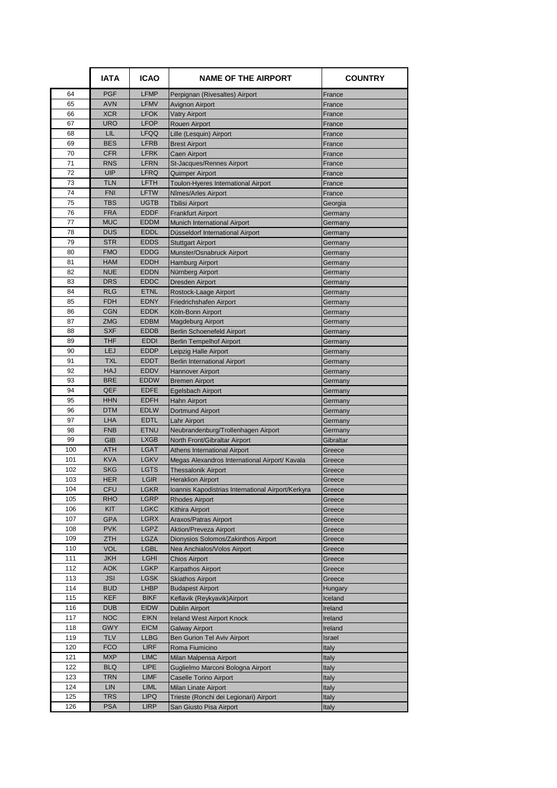|           | <b>IATA</b>              | <b>ICAO</b>                | <b>NAME OF THE AIRPORT</b>                                                   | <b>COUNTRY</b>      |
|-----------|--------------------------|----------------------------|------------------------------------------------------------------------------|---------------------|
| 64        | <b>PGF</b>               | <b>LFMP</b>                | Perpignan (Rivesaltes) Airport                                               | France              |
| 65        | <b>AVN</b>               | <b>LFMV</b>                | Avignon Airport                                                              | France              |
| 66        | <b>XCR</b>               | <b>LFOK</b>                | <b>Vatry Airport</b>                                                         | France              |
| 67        | <b>URO</b>               | <b>LFOP</b>                | <b>Rouen Airport</b>                                                         | France              |
| 68        | LIL                      | LFQQ                       | Lille (Lesquin) Airport                                                      | France              |
| 69        | <b>BES</b>               | <b>LFRB</b>                | <b>Brest Airport</b>                                                         | France              |
| 70        | <b>CFR</b>               | <b>LFRK</b>                | <b>Caen Airport</b>                                                          | France              |
| 71        | <b>RNS</b>               | <b>LFRN</b>                | St-Jacques/Rennes Airport                                                    | France              |
| 72        | UIP                      | <b>LFRQ</b>                | Quimper Airport                                                              | France              |
| 73<br>74  | <b>TLN</b><br><b>FNI</b> | <b>LFTH</b><br><b>LFTW</b> | Toulon-Hyeres International Airport                                          | France              |
| 75        | <b>TBS</b>               | <b>UGTB</b>                | Nîmes/Arles Airport                                                          | France<br>Georgia   |
| 76        | <b>FRA</b>               | <b>EDDF</b>                | <b>Tbilisi Airport</b><br><b>Frankfurt Airport</b>                           | Germany             |
| 77        | <b>MUC</b>               | <b>EDDM</b>                | Munich International Airport                                                 | Germany             |
| 78        | <b>DUS</b>               | <b>EDDL</b>                | Düsseldorf International Airport                                             | Germany             |
| 79        | <b>STR</b>               | <b>EDDS</b>                | <b>Stuttgart Airport</b>                                                     | Germany             |
| 80        | <b>FMO</b>               | <b>EDDG</b>                | Munster/Osnabruck Airport                                                    | Germany             |
| 81        | <b>HAM</b>               | <b>EDDH</b>                | <b>Hamburg Airport</b>                                                       | Germany             |
| 82        | <b>NUE</b>               | <b>EDDN</b>                | Nürnberg Airport                                                             | Germany             |
| 83        | <b>DRS</b>               | <b>EDDC</b>                | <b>Dresden Airport</b>                                                       | Germany             |
| 84        | <b>RLG</b>               | <b>ETNL</b>                | Rostock-Laage Airport                                                        | Germany             |
| 85        | <b>FDH</b>               | <b>EDNY</b>                | Friedrichshafen Airport                                                      | Germany             |
| 86        | <b>CGN</b>               | <b>EDDK</b>                | Köln-Bonn Airport                                                            | Germany             |
| 87        | <b>ZMG</b>               | <b>EDBM</b>                | <b>Magdeburg Airport</b>                                                     | Germany             |
| 88        | <b>SXF</b>               | <b>EDDB</b>                | <b>Berlin Schoenefeld Airport</b>                                            | Germany             |
| 89        | <b>THF</b>               | <b>EDDI</b>                | <b>Berlin Tempelhof Airport</b>                                              | Germany             |
| 90        | LEJ                      | <b>EDDP</b>                | Leipzig Halle Airport                                                        | Germany             |
| 91        | <b>TXL</b>               | <b>EDDT</b>                | <b>Berlin International Airport</b>                                          | Germany             |
| 92        | <b>HAJ</b>               | EDDV                       | Hannover Airport                                                             | Germany             |
| 93        | <b>BRE</b>               | <b>EDDW</b>                | <b>Bremen Airport</b>                                                        | Germany             |
| 94        | QEF                      | <b>EDFE</b>                | Egelsbach Airport                                                            | Germany             |
| 95        | <b>HHN</b>               | <b>EDFH</b>                | <b>Hahn Airport</b>                                                          | Germany             |
| 96        | <b>DTM</b>               | <b>EDLW</b>                | Dortmund Airport                                                             | Germany             |
| 97        | LHA                      | <b>EDTL</b>                | Lahr Airport                                                                 | Germany             |
| 98        | <b>FNB</b>               | <b>ETNU</b>                | Neubrandenburg/Trollenhagen Airport                                          | Germany             |
| 99<br>100 | <b>GIB</b><br><b>ATH</b> | <b>LXGB</b><br><b>LGAT</b> | North Front/Gibraltar Airport                                                | Gibraltar<br>Greece |
| 101       | <b>KVA</b>               | <b>LGKV</b>                | Athens International Airport                                                 | Greece              |
| 102       | <b>SKG</b>               | <b>LGTS</b>                | Megas Alexandros International Airport/ Kavala<br><b>Thessalonik Airport</b> | Greece              |
| 103       | <b>HER</b>               | <b>LGIR</b>                | <b>Heraklion Airport</b>                                                     | Greece              |
| 104       | CFU                      | LGKR                       | Ioannis Kapodistrias International Airport/Kerkyra                           | Greece              |
| 105       | <b>RHO</b>               | <b>LGRP</b>                | <b>Rhodes Airport</b>                                                        | Greece              |
| 106       | KIT                      | <b>LGKC</b>                | Kithira Airport                                                              | Greece              |
| 107       | <b>GPA</b>               | <b>LGRX</b>                | Araxos/Patras Airport                                                        | Greece              |
| 108       | <b>PVK</b>               | <b>LGPZ</b>                | <b>Aktion/Preveza Airport</b>                                                | Greece              |
| 109       | ZTH                      | <b>LGZA</b>                | Dionysios Solomos/Zakinthos Airport                                          | Greece              |
| 110       | <b>VOL</b>               | <b>LGBL</b>                | Nea Anchialos/Volos Airport                                                  | Greece              |
| 111       | <b>JKH</b>               | <b>LGHI</b>                | <b>Chios Airport</b>                                                         | Greece              |
| 112       | <b>AOK</b>               | LGKP                       | <b>Karpathos Airport</b>                                                     | Greece              |
| 113       | <b>JSI</b>               | <b>LGSK</b>                | <b>Skiathos Airport</b>                                                      | Greece              |
| 114       | <b>BUD</b>               | <b>LHBP</b>                | <b>Budapest Airport</b>                                                      | Hungary             |
| 115       | KEF                      | <b>BIKF</b>                | Keflavik (Reykyavik)Airport                                                  | Iceland             |
| 116       | <b>DUB</b>               | <b>EIDW</b>                | Dublin Airport                                                               | Ireland             |
| 117       | <b>NOC</b>               | <b>EIKN</b>                | <b>Ireland West Airport Knock</b>                                            | Ireland             |
| 118       | <b>GWY</b>               | <b>EICM</b>                | Galway Airport                                                               | Ireland             |
| 119       | <b>TLV</b>               | <b>LLBG</b>                | Ben Gurion Tel Aviv Airport                                                  | Israel              |
| 120       | <b>FCO</b>               | <b>LIRF</b>                | Roma Fiumicino                                                               | Italy               |
| 121       | <b>MXP</b>               | <b>LIMC</b>                | Milan Malpensa Airport                                                       | Italy               |
| 122       | <b>BLQ</b>               | <b>LIPE</b>                | Guglielmo Marconi Bologna Airport                                            | Italy               |
| 123       | <b>TRN</b>               | <b>LIMF</b>                | <b>Caselle Torino Airport</b>                                                | Italy               |
| 124       | LIN                      | LIML                       | Milan Linate Airport                                                         | Italy               |
| 125       | <b>TRS</b>               | <b>LIPQ</b>                | Trieste (Ronchi dei Legionari) Airport                                       | Italy               |
| 126       | <b>PSA</b>               | <b>LIRP</b>                | San Giusto Pisa Airport                                                      | Italy               |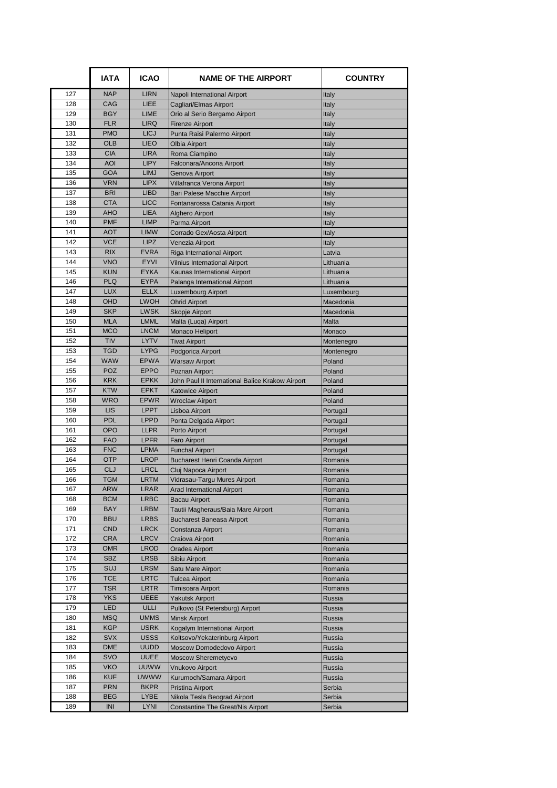|            | <b>IATA</b>              | <b>ICAO</b>                | <b>NAME OF THE AIRPORT</b>                            | <b>COUNTRY</b>       |
|------------|--------------------------|----------------------------|-------------------------------------------------------|----------------------|
| 127        | <b>NAP</b>               | <b>LIRN</b>                | Napoli International Airport                          | Italy                |
| 128        | CAG                      | LIEE                       | Cagliari/Elmas Airport                                | Italy                |
| 129        | <b>BGY</b>               | <b>LIME</b>                | Orio al Serio Bergamo Airport                         | Italy                |
| 130        | <b>FLR</b>               | <b>LIRQ</b>                | <b>Firenze Airport</b>                                | Italy                |
| 131        | <b>PMO</b>               | <b>LICJ</b>                | Punta Raisi Palermo Airport                           | Italy                |
| 132        | OLB                      | <b>LIEO</b>                | Olbia Airport                                         | Italy                |
| 133        | <b>CIA</b>               | <b>LIRA</b><br><b>LIPY</b> | Roma Ciampino                                         | Italy                |
| 134<br>135 | <b>AOI</b><br><b>GOA</b> | <b>LIMJ</b>                | Falconara/Ancona Airport<br><b>Genova Airport</b>     | Italy                |
| 136        | <b>VRN</b>               | <b>LIPX</b>                | Villafranca Verona Airport                            | Italy<br>Italy       |
| 137        | <b>BRI</b>               | <b>LIBD</b>                | Bari Palese Macchie Airport                           | Italy                |
| 138        | <b>CTA</b>               | <b>LICC</b>                | Fontanarossa Catania Airport                          | Italy                |
| 139        | <b>AHO</b>               | <b>LIEA</b>                | Alghero Airport                                       | Italy                |
| 140        | <b>PMF</b>               | <b>LIMP</b>                | Parma Airport                                         | Italy                |
| 141        | <b>AOT</b>               | <b>LIMW</b>                | Corrado Gex/Aosta Airport                             | Italy                |
| 142        | <b>VCE</b>               | <b>LIPZ</b>                | Venezia Airport                                       | Italy                |
| 143        | <b>RIX</b>               | <b>EVRA</b>                | Riga International Airport                            | Latvia               |
| 144        | <b>VNO</b>               | <b>EYVI</b>                | <b>Vilnius International Airport</b>                  | Lithuania            |
| 145        | <b>KUN</b>               | <b>EYKA</b>                | Kaunas International Airport                          | Lithuania            |
| 146        | <b>PLQ</b>               | <b>EYPA</b>                | Palanga International Airport                         | Lithuania            |
| 147        | <b>LUX</b>               | <b>ELLX</b>                | Luxembourg Airport                                    | Luxembourg           |
| 148        | OHD                      | <b>LWOH</b>                | <b>Ohrid Airport</b>                                  | Macedonia            |
| 149        | <b>SKP</b>               | <b>LWSK</b>                | Skopje Airport                                        | Macedonia            |
| 150        | <b>MLA</b>               | <b>LMML</b>                | Malta (Luga) Airport                                  | Malta                |
| 151        | <b>MCO</b>               | <b>LNCM</b>                | Monaco Heliport                                       | Monaco               |
| 152        | <b>TIV</b>               | <b>LYTV</b>                | <b>Tivat Airport</b>                                  | Montenegro           |
| 153<br>154 | <b>TGD</b><br>WAW        | <b>LYPG</b><br><b>EPWA</b> | Podgorica Airport                                     | Montenegro<br>Poland |
| 155        | <b>POZ</b>               | <b>EPPO</b>                | <b>Warsaw Airport</b><br>Poznan Airport               | Poland               |
| 156        | <b>KRK</b>               | <b>EPKK</b>                | John Paul II International Balice Krakow Airport      | Poland               |
| 157        | <b>KTW</b>               | <b>EPKT</b>                | <b>Katowice Airport</b>                               | Poland               |
| 158        | <b>WRO</b>               | <b>EPWR</b>                | <b>Wroclaw Airport</b>                                | Poland               |
| 159        | <b>LIS</b>               | <b>LPPT</b>                | Lisboa Airport                                        | Portugal             |
| 160        | <b>PDL</b>               | <b>LPPD</b>                | Ponta Delgada Airport                                 | Portugal             |
| 161        | <b>OPO</b>               | <b>LLPR</b>                | Porto Airport                                         | Portugal             |
| 162        | <b>FAO</b>               | <b>LPFR</b>                | <b>Faro Airport</b>                                   | Portugal             |
| 163        | <b>FNC</b>               | <b>LPMA</b>                | <b>Funchal Airport</b>                                | Portugal             |
| 164        | <b>OTP</b>               | <b>LROP</b>                | <b>Bucharest Henri Coanda Airport</b>                 | Romania              |
| 165        | <b>CLJ</b>               | <b>LRCL</b>                | Cluj Napoca Airport                                   | Romania              |
| 166        | <b>TGM</b>               | <b>LRTM</b>                | Vidrasau-Targu Mures Airport                          | Romania              |
| 167        | ARW                      | LRAR                       | Arad International Airport                            | Romania              |
| 168        | <b>BCM</b>               | <b>LRBC</b>                | <b>Bacau Airport</b>                                  | Romania              |
| 169<br>170 | <b>BAY</b><br><b>BBU</b> | <b>LRBM</b><br><b>LRBS</b> | Tautii Magheraus/Baia Mare Airport                    | Romania              |
| 171        | <b>CND</b>               | ${\sf LRCK}$               | <b>Bucharest Baneasa Airport</b><br>Constanza Airport | Romania<br>Romania   |
| 172        | <b>CRA</b>               | LRCV                       | Craiova Airport                                       | Romania              |
| 173        | <b>OMR</b>               | <b>LROD</b>                | Oradea Airport                                        | Romania              |
| 174        | <b>SBZ</b>               | <b>LRSB</b>                | Sibiu Airport                                         | Romania              |
| 175        | SUJ                      | <b>LRSM</b>                | Satu Mare Airport                                     | Romania              |
| 176        | <b>TCE</b>               | <b>LRTC</b>                | Tulcea Airport                                        | Romania              |
| 177        | <b>TSR</b>               | <b>LRTR</b>                | Timisoara Airport                                     | Romania              |
| 178        | <b>YKS</b>               | <b>UEEE</b>                | Yakutsk Airport                                       | Russia               |
| 179        | LED                      | ULLI                       | Pulkovo (St Petersburg) Airport                       | Russia               |
| 180        | <b>MSQ</b>               | <b>UMMS</b>                | <b>Minsk Airport</b>                                  | Russia               |
| 181        | <b>KGP</b>               | <b>USRK</b>                | Kogalym International Airport                         | Russia               |
| 182        | <b>SVX</b>               | <b>USSS</b>                | Koltsovo/Yekaterinburg Airport                        | Russia               |
| 183        | <b>DME</b>               | <b>UUDD</b>                | Moscow Domodedovo Airport                             | Russia               |
| 184        | SVO<br><b>VKO</b>        | <b>UUEE</b><br><b>UUWW</b> | Moscow Sheremetyevo                                   | Russia               |
| 185<br>186 | <b>KUF</b>               | <b>UWWW</b>                | Vnukovo Airport                                       | Russia               |
| 187        | <b>PRN</b>               | <b>BKPR</b>                | Kurumoch/Samara Airport<br>Pristina Airport           | Russia<br>Serbia     |
| 188        | <b>BEG</b>               | LYBE                       | Nikola Tesla Beograd Airport                          | Serbia               |
| 189        | <b>INI</b>               | <b>LYNI</b>                | <b>Constantine The Great/Nis Airport</b>              | Serbia               |